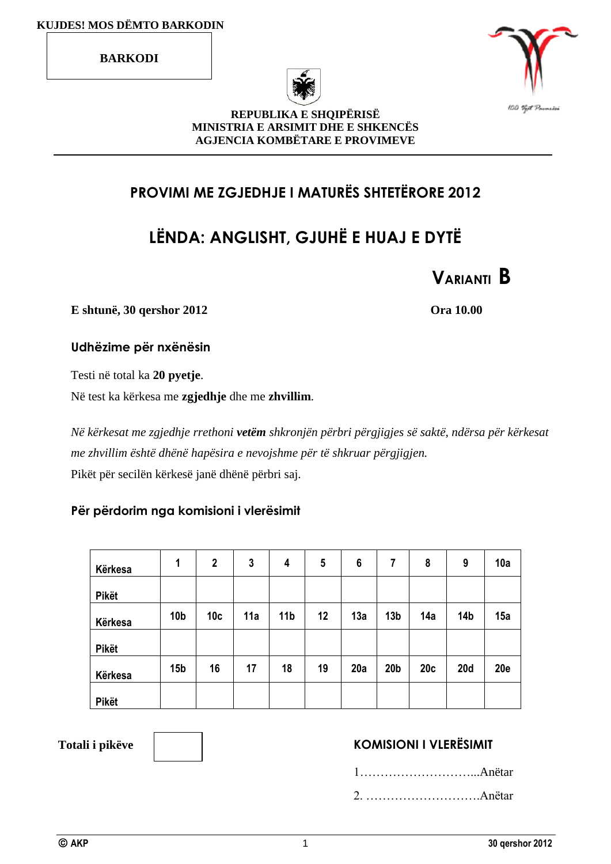**BARKODI**





#### **REPUBLIKA E SHQIPËRISË MINISTRIA E ARSIMIT DHE E SHKENCËS AGJENCIA KOMBËTARE E PROVIMEVE**

### **PROVIMI ME ZGJEDHJE I MATURËS SHTETËRORE 2012**

# **LËNDA: ANGLISHT, GJUHË E HUAJ E DYTË**



**E shtunë, 30 qershor 2012 Ora 10.00**

#### **Udhëzime për nxënësin**

Testi në total ka **20 pyetje**.

Në test ka kërkesa me **zgjedhje** dhe me **zhvillim**.

*Në kërkesat me zgjedhje rrethoni vetëm shkronjën përbri përgjigjes së saktë, ndërsa për kërkesat me zhvillim është dhënë hapësira e nevojshme për të shkruar përgjigjen.* Pikët për secilën kërkesë janë dhënë përbri saj.

#### **Për përdorim nga komisioni i vlerësimit**

| Kërkesa      | 1               | $\boldsymbol{2}$ | 3   | 4               | 5  | $6\phantom{1}6$ | 7               | 8   | 9          | 10a        |
|--------------|-----------------|------------------|-----|-----------------|----|-----------------|-----------------|-----|------------|------------|
| <b>Pikët</b> |                 |                  |     |                 |    |                 |                 |     |            |            |
| Kërkesa      | 10 <sub>b</sub> | 10 <sub>c</sub>  | 11a | 11 <sub>b</sub> | 12 | 13a             | 13 <sub>b</sub> | 14a | 14b        | 15a        |
| Pikët        |                 |                  |     |                 |    |                 |                 |     |            |            |
| Kërkesa      | 15 <sub>b</sub> | 16               | 17  | 18              | 19 | 20a             | 20 <sub>b</sub> | 20c | <b>20d</b> | <b>20e</b> |
| <b>Pikët</b> |                 |                  |     |                 |    |                 |                 |     |            |            |

#### Totali i pikëve **XOMISIONI I VLERËSIMIT**

1………………………...Anëtar 2. ……………………….Anëtar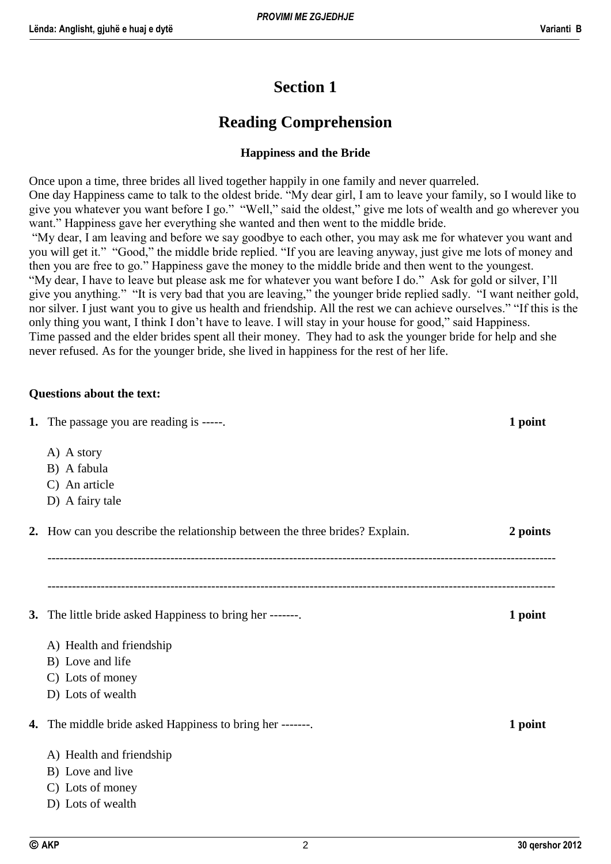### **Section 1**

# **Reading Comprehension**

#### **Happiness and the Bride**

Once upon a time, three brides all lived together happily in one family and never quarreled. One day Happiness came to talk to the oldest bride. "My dear girl, I am to leave your family, so I would like to give you whatever you want before I go." "Well," said the oldest," give me lots of wealth and go wherever you want." Happiness gave her everything she wanted and then went to the middle bride. "My dear, I am leaving and before we say goodbye to each other, you may ask me for whatever you want and you will get it." "Good," the middle bride replied. "If you are leaving anyway, just give me lots of money and then you are free to go." Happiness gave the money to the middle bride and then went to the youngest. "My dear, I have to leave but please ask me for whatever you want before I do." Ask for gold or silver, I'll give you anything." "It is very bad that you are leaving," the younger bride replied sadly. "I want neither gold, nor silver. I just want you to give us health and friendship. All the rest we can achieve ourselves." "If this is the only thing you want, I think I don't have to leave. I will stay in your house for good," said Happiness. Time passed and the elder brides spent all their money. They had to ask the younger bride for help and she never refused. As for the younger bride, she lived in happiness for the rest of her life.

#### **Questions about the text:**

|    | 1. The passage you are reading is -----.                                    | 1 point  |
|----|-----------------------------------------------------------------------------|----------|
|    | A) A story                                                                  |          |
|    | B) A fabula                                                                 |          |
|    | C) An article                                                               |          |
|    | D) A fairy tale                                                             |          |
|    | 2. How can you describe the relationship between the three brides? Explain. | 2 points |
|    |                                                                             |          |
|    | 3. The little bride asked Happiness to bring her -------                    | 1 point  |
|    | A) Health and friendship                                                    |          |
|    | B) Love and life                                                            |          |
|    | C) Lots of money                                                            |          |
|    | D) Lots of wealth                                                           |          |
| 4. | The middle bride asked Happiness to bring her -------.                      | 1 point  |
|    | A) Health and friendship                                                    |          |
|    | B) Love and live                                                            |          |
|    | C) Lots of money                                                            |          |
|    | D) Lots of wealth                                                           |          |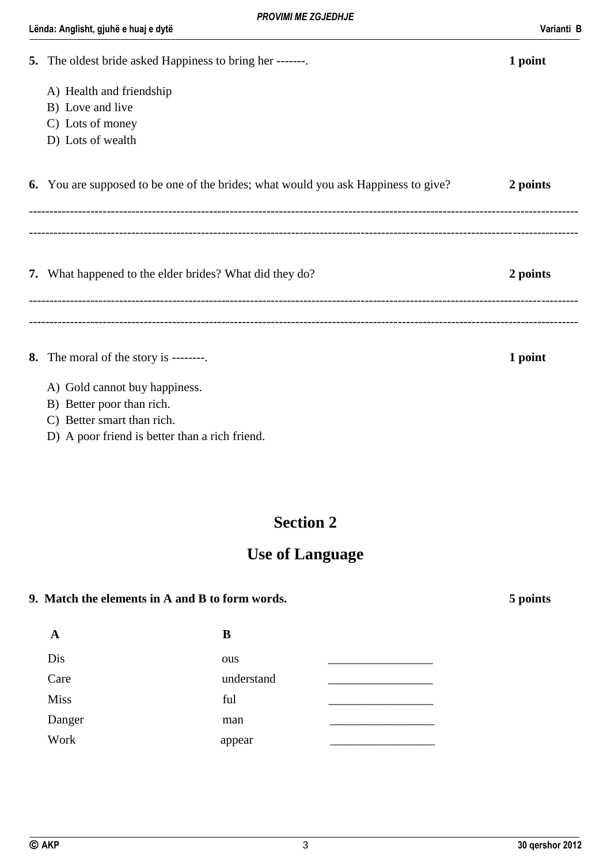| <b>5.</b> The oldest bride asked Happiness to bring her -------                                                                            | 1 point  |
|--------------------------------------------------------------------------------------------------------------------------------------------|----------|
| A) Health and friendship<br>B) Love and live<br>C) Lots of money<br>D) Lots of wealth                                                      |          |
| 6. You are supposed to be one of the brides; what would you ask Happiness to give?                                                         | 2 points |
|                                                                                                                                            |          |
| 7. What happened to the elder brides? What did they do?                                                                                    | 2 points |
|                                                                                                                                            |          |
| <b>8.</b> The moral of the story is --------                                                                                               | 1 point  |
| A) Gold cannot buy happiness.<br>B) Better poor than rich.<br>C) Better smart than rich.<br>D) A poor friend is better than a rich friend. |          |

## **Section 2**

## **Use of Language**

#### **9. Match the elements in A and B to form words. 5 points**

**A** B  $Dis$  ous  $\qquad \qquad \qquad \qquad \qquad$ Care understand Miss ful \_\_\_\_\_\_\_\_\_\_\_\_\_\_\_\_\_ Danger man \_\_\_\_\_\_\_\_\_\_\_\_\_\_\_\_\_ Work appear \_\_\_\_\_\_\_\_\_\_\_\_\_\_\_\_\_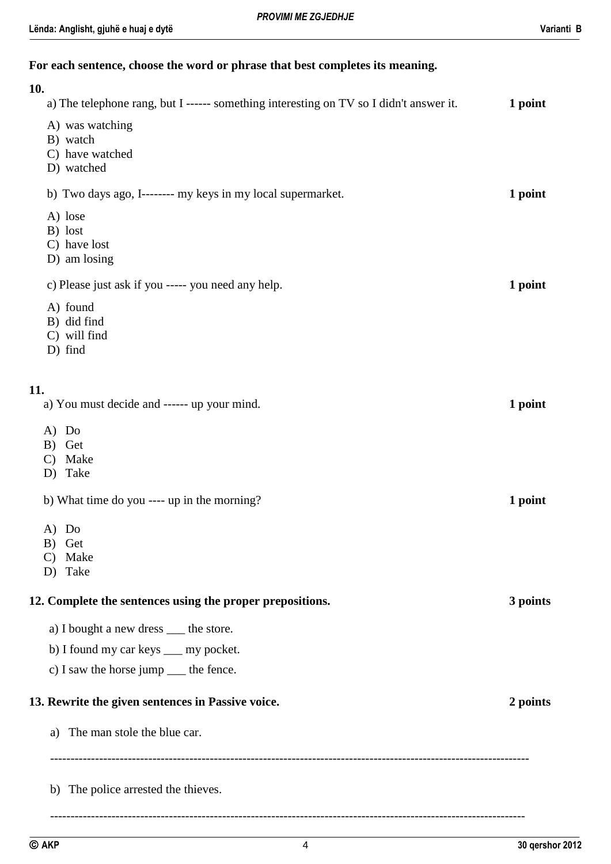# **For each sentence, choose the word or phrase that best completes its meaning. 10.** a) The telephone rang, but I ------ something interesting on TV so I didn't answer it. **1 point** A) was watching B) watch C) have watched D) watched b) Two days ago, I-------- my keys in my local supermarket. **1 point** A) lose B) lost C) have lost D) am losing c) Please just ask if you ----- you need any help. **1 point** A) found B) did find C) will find D) find **11.** a) You must decide and ------ up your mind. **1 point** A) Do B) Get C) Make D) Take b) What time do you ---- up in the morning? A) Do B) Get C) Make D) Take **12. Complete the sentences using the proper prepositions. 3 points** a) I bought a new dress \_\_\_ the store. b) I found my car keys \_\_\_ my pocket. c) I saw the horse jump \_\_\_ the fence. **13. Rewrite the given sentences in Passive voice. 2 points** a) The man stole the blue car. -------------------------------------------------------------------------------------------------------------------- b) The police arrested the thieves. --------------------------------------------------------------------------------------------------------------------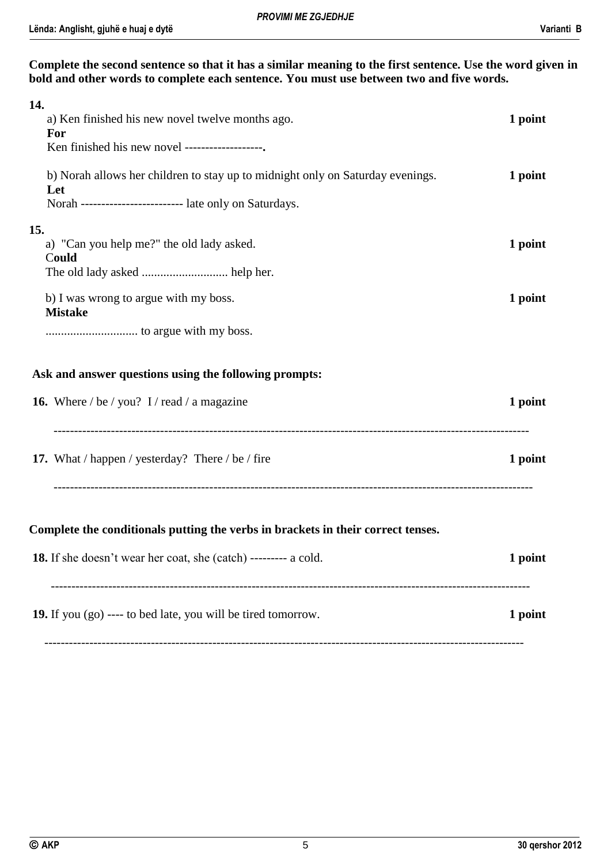**Complete the second sentence so that it has a similar meaning to the first sentence. Use the word given in bold and other words to complete each sentence. You must use between two and five words.** 

| 14.<br>a) Ken finished his new novel twelve months ago.<br>For<br>Ken finished his new novel ------------------                                            | 1 point |
|------------------------------------------------------------------------------------------------------------------------------------------------------------|---------|
| b) Norah allows her children to stay up to midnight only on Saturday evenings.<br>Let<br>Norah ------------------------- late only on Saturdays.           | 1 point |
| 15.<br>a) "Can you help me?" the old lady asked.<br>Could                                                                                                  | 1 point |
| b) I was wrong to argue with my boss.<br><b>Mistake</b>                                                                                                    | 1 point |
| Ask and answer questions using the following prompts:<br><b>16.</b> Where / be / you? I / read / a magazine                                                | 1 point |
| 17. What / happen / yesterday? There / be / fire                                                                                                           | 1 point |
| Complete the conditionals putting the verbs in brackets in their correct tenses.<br><b>18.</b> If she doesn't wear her coat, she (catch) --------- a cold. | 1 point |
| <b>19.</b> If you (go) ---- to bed late, you will be tired tomorrow.                                                                                       | 1 point |

---------------------------------------------------------------------------------------------------------------------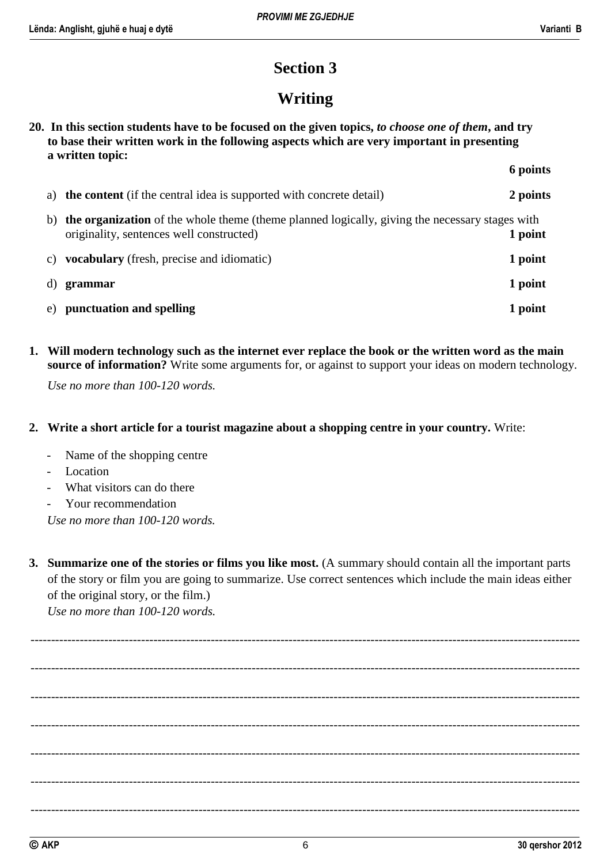### **Section 3**

### **Writing**

**20. In this section students have to be focused on the given topics,** *to choose one of them***, and try to base their written work in the following aspects which are very important in presenting a written topic:** 

|    |                                                                                                                                            | 6 points |
|----|--------------------------------------------------------------------------------------------------------------------------------------------|----------|
| a) | <b>the content</b> (if the central idea is supported with concrete detail)                                                                 | 2 points |
| b) | the organization of the whole theme (theme planned logically, giving the necessary stages with<br>originality, sentences well constructed) | 1 point  |
| c) | <b>vocabulary</b> (fresh, precise and idiomatic)                                                                                           | 1 point  |
|    | grammar                                                                                                                                    | 1 point  |
| e) | punctuation and spelling                                                                                                                   | 1 point  |

**1. Will modern technology such as the internet ever replace the book or the written word as the main source of information?** Write some arguments for, or against to support your ideas on modern technology.

*Use no more than 100-120 words.*

- **2. Write a short article for a tourist magazine about a shopping centre in your country.** Write:
	- Name of the shopping centre
	- **Location**
	- What visitors can do there
	- Your recommendation

*Use no more than 100-120 words.*

**3. Summarize one of the stories or films you like most.** (A summary should contain all the important parts of the story or film you are going to summarize. Use correct sentences which include the main ideas either of the original story, or the film.) *Use no more than 100-120 words.*

-------------------------------------------------------------------------------------------------------------------------------------- -------------------------------------------------------------------------------------------------------------------------------------- -------------------------------------------------------------------------------------------------------------------------------------- -------------------------------------------------------------------------------------------------------------------------------------- -------------------------------------------------------------------------------------------------------------------------------------- -------------------------------------------------------------------------------------------------------------------------------------- --------------------------------------------------------------------------------------------------------------------------------------